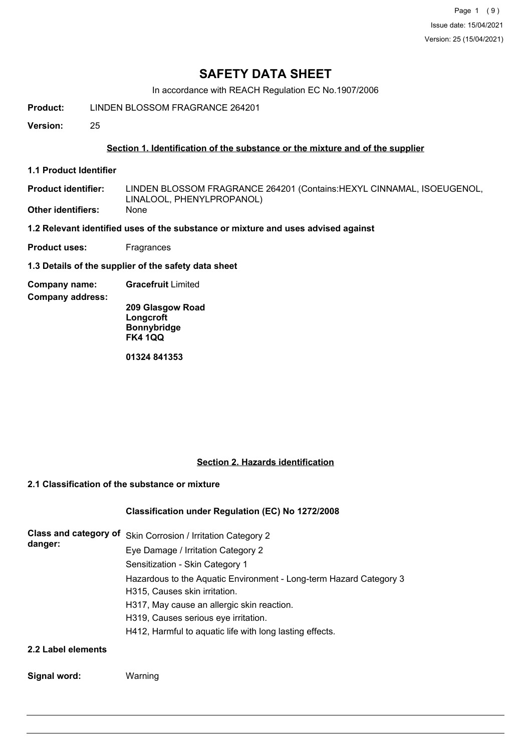Page 1 (9) Issue date: 15/04/2021 Version: 25 (15/04/2021)

## **SAFETY DATA SHEET**

In accordance with REACH Regulation EC No.1907/2006

**Product:** LINDEN BLOSSOM FRAGRANCE 264201

**Version:** 25

### **Section 1. Identification of the substance or the mixture and of the supplier**

**1.1 Product Identifier**

LINDEN BLOSSOM FRAGRANCE 264201 (Contains:HEXYL CINNAMAL, ISOEUGENOL, LINALOOL, PHENYLPROPANOL) **Product identifier: Other identifiers:** None

**1.2 Relevant identified uses of the substance or mixture and uses advised against**

**Product uses:** Fragrances

**1.3 Details of the supplier of the safety data sheet**

**Company name: Gracefruit** Limited

**Company address:**

**209 Glasgow Road Longcroft Bonnybridge FK4 1QQ**

**01324 841353**

## **Section 2. Hazards identification**

## **2.1 Classification of the substance or mixture**

## **Classification under Regulation (EC) No 1272/2008**

| danger:            | Class and category of Skin Corrosion / Irritation Category 2                                        |
|--------------------|-----------------------------------------------------------------------------------------------------|
|                    | Eye Damage / Irritation Category 2                                                                  |
|                    | Sensitization - Skin Category 1                                                                     |
|                    | Hazardous to the Aquatic Environment - Long-term Hazard Category 3<br>H315, Causes skin irritation. |
|                    | H317, May cause an allergic skin reaction.                                                          |
|                    | H319, Causes serious eye irritation.                                                                |
|                    | H412, Harmful to aquatic life with long lasting effects.                                            |
| 2.2 Label elements |                                                                                                     |

# **Signal word:** Warning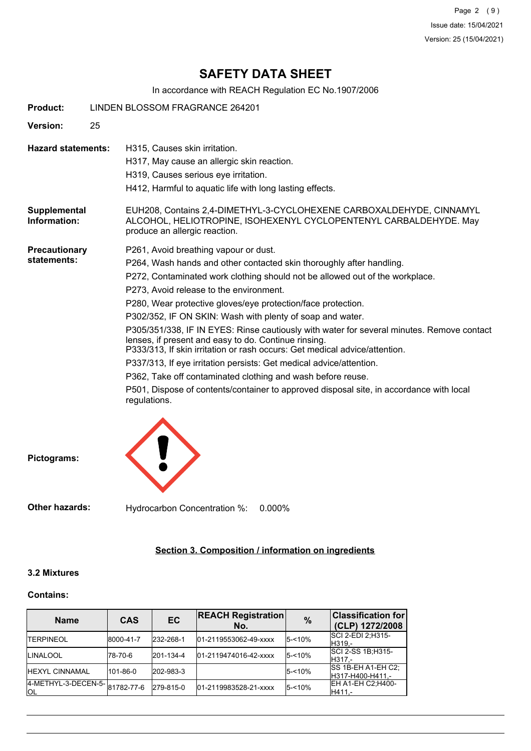Page 2 (9) Issue date: 15/04/2021 Version: 25 (15/04/2021)

## **SAFETY DATA SHEET**

In accordance with REACH Regulation EC No.1907/2006

| Product:                            |    | LINDEN BLOSSOM FRAGRANCE 264201                                                                                                                                                                                                                                                                                                                                                                                                                                                                                                                                                                                                                                                                                                                                                                                                                           |
|-------------------------------------|----|-----------------------------------------------------------------------------------------------------------------------------------------------------------------------------------------------------------------------------------------------------------------------------------------------------------------------------------------------------------------------------------------------------------------------------------------------------------------------------------------------------------------------------------------------------------------------------------------------------------------------------------------------------------------------------------------------------------------------------------------------------------------------------------------------------------------------------------------------------------|
| <b>Version:</b>                     | 25 |                                                                                                                                                                                                                                                                                                                                                                                                                                                                                                                                                                                                                                                                                                                                                                                                                                                           |
| <b>Hazard statements:</b>           |    | H315, Causes skin irritation.<br>H317, May cause an allergic skin reaction.<br>H319, Causes serious eye irritation.<br>H412, Harmful to aquatic life with long lasting effects.                                                                                                                                                                                                                                                                                                                                                                                                                                                                                                                                                                                                                                                                           |
| Supplemental<br>Information:        |    | EUH208, Contains 2,4-DIMETHYL-3-CYCLOHEXENE CARBOXALDEHYDE, CINNAMYL<br>ALCOHOL, HELIOTROPINE, ISOHEXENYL CYCLOPENTENYL CARBALDEHYDE. May<br>produce an allergic reaction.                                                                                                                                                                                                                                                                                                                                                                                                                                                                                                                                                                                                                                                                                |
| <b>Precautionary</b><br>statements: |    | P261, Avoid breathing vapour or dust.<br>P264, Wash hands and other contacted skin thoroughly after handling.<br>P272, Contaminated work clothing should not be allowed out of the workplace.<br>P273, Avoid release to the environment.<br>P280, Wear protective gloves/eye protection/face protection.<br>P302/352, IF ON SKIN: Wash with plenty of soap and water.<br>P305/351/338, IF IN EYES: Rinse cautiously with water for several minutes. Remove contact<br>lenses, if present and easy to do. Continue rinsing.<br>P333/313, If skin irritation or rash occurs: Get medical advice/attention.<br>P337/313, If eye irritation persists: Get medical advice/attention.<br>P362, Take off contaminated clothing and wash before reuse.<br>P501, Dispose of contents/container to approved disposal site, in accordance with local<br>regulations. |
| Pictograms:                         |    |                                                                                                                                                                                                                                                                                                                                                                                                                                                                                                                                                                                                                                                                                                                                                                                                                                                           |

**Other hazards:** Hydrocarbon Concentration %: 0.000%

### **Section 3. Composition / information on ingredients**

## **3.2 Mixtures**

#### **Contains:**

| <b>Name</b>                                 | <b>CAS</b> | EC        | <b>REACH Registration</b><br>No. | $\%$      | <b>Classification for</b><br>(CLP) 1272/2008   |
|---------------------------------------------|------------|-----------|----------------------------------|-----------|------------------------------------------------|
| <b>ITERPINEOL</b>                           | 8000-41-7  | 232-268-1 | 01-2119553062-49-xxxx            | $5 - 10%$ | <b>SCI 2-EDI 2:H315-</b><br>H319.-             |
| <b>ILINALOOL</b>                            | 178-70-6   | 201-134-4 | 01-2119474016-42-xxxx            | $5 - 10%$ | SCI 2-SS 1B; H315-<br>IH317.-                  |
| <b>HEXYL CINNAMAL</b>                       | 101-86-0   | 202-983-3 |                                  | $5 - 10%$ | <b>ISS 1B-EH A1-EH C2:</b><br>H317-H400-H411.- |
| 4-METHYL-3-DECEN-5- 81782-77-6<br><b>OL</b> |            | 279-815-0 | 01-2119983528-21-xxxx            | $5 - 10%$ | EH A1-EH C2;H400-<br>H411.-                    |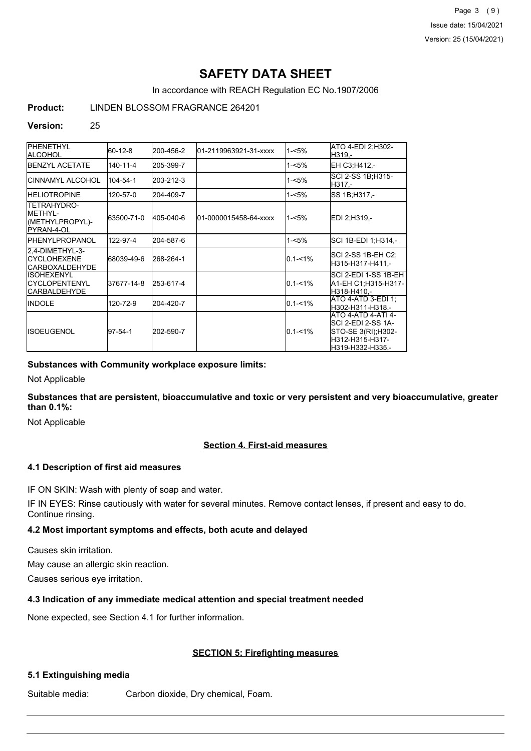Page 3 (9) Issue date: 15/04/2021 Version: 25 (15/04/2021)

## **SAFETY DATA SHEET**

In accordance with REACH Regulation EC No.1907/2006

### **Product:** LINDEN BLOSSOM FRAGRANCE 264201

#### **Version:** 25

| PHENETHYL<br><b>IALCOHOL</b>                                                   | 60-12-8    | 200-456-2 | 01-2119963921-31-xxxx | $1 - 5%$    | ATO 4-EDI 2:H302-<br>IH319.-                                                                            |
|--------------------------------------------------------------------------------|------------|-----------|-----------------------|-------------|---------------------------------------------------------------------------------------------------------|
| <b>IBENZYL ACETATE</b>                                                         | 140-11-4   | 205-399-7 |                       | 1-<5%       | EH C3:H412.-                                                                                            |
| <b>I</b> CINNAMYL ALCOHOL                                                      | 104-54-1   | 203-212-3 |                       | 1-<5%       | SCI 2-SS 1B:H315-<br>H317.-                                                                             |
| <b>IHELIOTROPINE</b>                                                           | 120-57-0   | 204-409-7 |                       | 1-<5%       | SS 1B:H317.-                                                                                            |
| <b>TETRAHYDRO-</b><br><b>IMETHYL-</b><br>I(METHYLPROPYL)-<br><b>PYRAN-4-OL</b> | 63500-71-0 | 405-040-6 | 01-0000015458-64-xxxx | 1-<5%       | EDI 2:H319.-                                                                                            |
| <b>IPHENYLPROPANOL</b>                                                         | 122-97-4   | 204-587-6 |                       | 1-<5%       | SCI 1B-EDI 1:H314.-                                                                                     |
| 2.4-DIMETHYL-3-<br><b>ICYCLOHEXENE</b><br><b>CARBOXALDEHYDE</b>                | 68039-49-6 | 268-264-1 |                       | $0.1 - 1%$  | SCI 2-SS 1B-EH C2;<br>H315-H317-H411.-                                                                  |
| IISOHEXENYL<br><b>ICYCLOPENTENYL</b><br><b>CARBALDEHYDE</b>                    | 37677-14-8 | 253-617-4 |                       | $0.1 - 1\%$ | SCI 2-EDI 1-SS 1B-EH<br>A1-EH C1:H315-H317-<br>lH318-H410.-                                             |
| <b>IINDOLE</b>                                                                 | 120-72-9   | 204-420-7 |                       | $0.1 - 1%$  | ATO 4-ATD 3-EDI 1:<br>H302-H311-H318.-                                                                  |
| lisoeugenol                                                                    | 197-54-1   | 202-590-7 |                       | $0.1 - 1\%$ | ATO 4-ATD 4-ATI 4-<br>ISCI 2-EDI 2-SS 1A-<br>STO-SE 3(RI);H302-<br>lH312-H315-H317-<br>H319-H332-H335.- |

**Substances with Community workplace exposure limits:**

Not Applicable

**Substances that are persistent, bioaccumulative and toxic or very persistent and very bioaccumulative, greater than 0.1%:**

Not Applicable

## **Section 4. First-aid measures**

#### **4.1 Description of first aid measures**

IF ON SKIN: Wash with plenty of soap and water.

IF IN EYES: Rinse cautiously with water for several minutes. Remove contact lenses, if present and easy to do. Continue rinsing.

#### **4.2 Most important symptoms and effects, both acute and delayed**

Causes skin irritation.

May cause an allergic skin reaction.

Causes serious eye irritation.

#### **4.3 Indication of any immediate medical attention and special treatment needed**

None expected, see Section 4.1 for further information.

#### **SECTION 5: Firefighting measures**

#### **5.1 Extinguishing media**

Suitable media: Carbon dioxide, Dry chemical, Foam.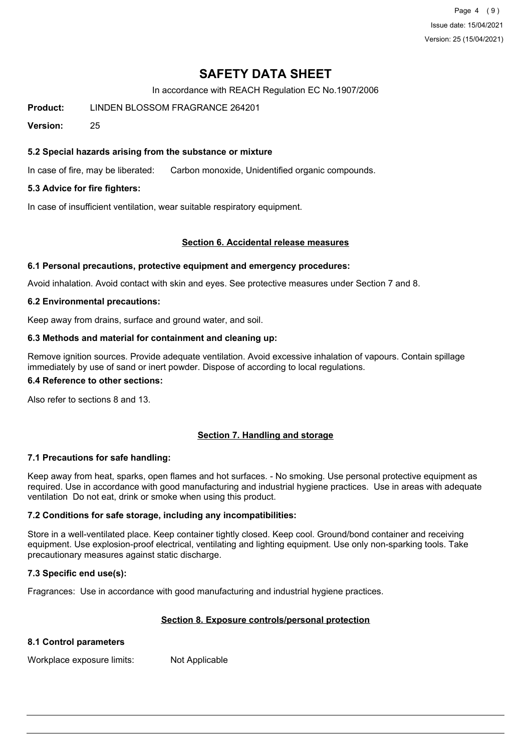Page 4 (9) Issue date: 15/04/2021 Version: 25 (15/04/2021)

## **SAFETY DATA SHEET**

In accordance with REACH Regulation EC No.1907/2006

**Product:** LINDEN BLOSSOM FRAGRANCE 264201

**Version:** 25

#### **5.2 Special hazards arising from the substance or mixture**

In case of fire, may be liberated: Carbon monoxide, Unidentified organic compounds.

#### **5.3 Advice for fire fighters:**

In case of insufficient ventilation, wear suitable respiratory equipment.

#### **Section 6. Accidental release measures**

#### **6.1 Personal precautions, protective equipment and emergency procedures:**

Avoid inhalation. Avoid contact with skin and eyes. See protective measures under Section 7 and 8.

#### **6.2 Environmental precautions:**

Keep away from drains, surface and ground water, and soil.

#### **6.3 Methods and material for containment and cleaning up:**

Remove ignition sources. Provide adequate ventilation. Avoid excessive inhalation of vapours. Contain spillage immediately by use of sand or inert powder. Dispose of according to local regulations.

#### **6.4 Reference to other sections:**

Also refer to sections 8 and 13.

#### **Section 7. Handling and storage**

#### **7.1 Precautions for safe handling:**

Keep away from heat, sparks, open flames and hot surfaces. - No smoking. Use personal protective equipment as required. Use in accordance with good manufacturing and industrial hygiene practices. Use in areas with adequate ventilation Do not eat, drink or smoke when using this product.

#### **7.2 Conditions for safe storage, including any incompatibilities:**

Store in a well-ventilated place. Keep container tightly closed. Keep cool. Ground/bond container and receiving equipment. Use explosion-proof electrical, ventilating and lighting equipment. Use only non-sparking tools. Take precautionary measures against static discharge.

#### **7.3 Specific end use(s):**

Fragrances: Use in accordance with good manufacturing and industrial hygiene practices.

#### **Section 8. Exposure controls/personal protection**

#### **8.1 Control parameters**

Workplace exposure limits: Not Applicable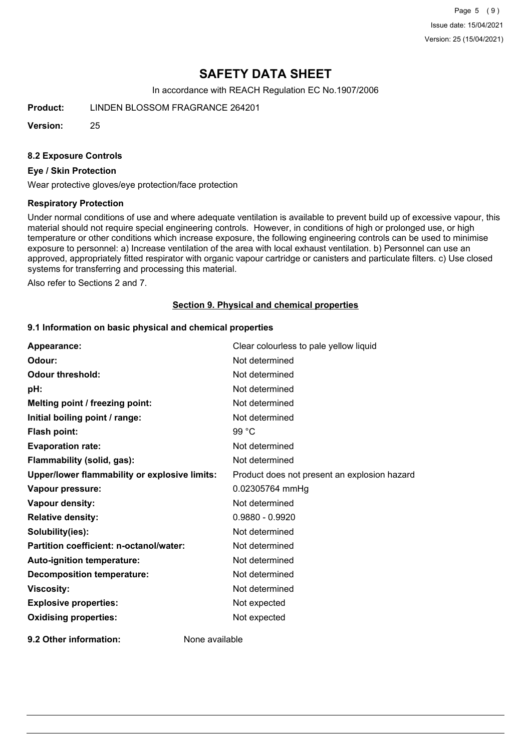Page 5 (9) Issue date: 15/04/2021 Version: 25 (15/04/2021)

## **SAFETY DATA SHEET**

In accordance with REACH Regulation EC No.1907/2006

**Product:** LINDEN BLOSSOM FRAGRANCE 264201

**Version:** 25

#### **8.2 Exposure Controls**

#### **Eye / Skin Protection**

Wear protective gloves/eye protection/face protection

#### **Respiratory Protection**

Under normal conditions of use and where adequate ventilation is available to prevent build up of excessive vapour, this material should not require special engineering controls. However, in conditions of high or prolonged use, or high temperature or other conditions which increase exposure, the following engineering controls can be used to minimise exposure to personnel: a) Increase ventilation of the area with local exhaust ventilation. b) Personnel can use an approved, appropriately fitted respirator with organic vapour cartridge or canisters and particulate filters. c) Use closed systems for transferring and processing this material.

Also refer to Sections 2 and 7.

#### **Section 9. Physical and chemical properties**

#### **9.1 Information on basic physical and chemical properties**

| Appearance:                                   | Clear colourless to pale yellow liquid       |
|-----------------------------------------------|----------------------------------------------|
| Odour:                                        | Not determined                               |
| <b>Odour threshold:</b>                       | Not determined                               |
| pH:                                           | Not determined                               |
| Melting point / freezing point:               | Not determined                               |
| Initial boiling point / range:                | Not determined                               |
| <b>Flash point:</b>                           | 99 °C                                        |
| <b>Evaporation rate:</b>                      | Not determined                               |
| Flammability (solid, gas):                    | Not determined                               |
| Upper/lower flammability or explosive limits: | Product does not present an explosion hazard |
| Vapour pressure:                              | 0.02305764 mmHg                              |
| Vapour density:                               | Not determined                               |
| <b>Relative density:</b>                      | $0.9880 - 0.9920$                            |
| Solubility(ies):                              | Not determined                               |
| Partition coefficient: n-octanol/water:       | Not determined                               |
| Auto-ignition temperature:                    | Not determined                               |
| <b>Decomposition temperature:</b>             | Not determined                               |
| <b>Viscosity:</b>                             | Not determined                               |
| <b>Explosive properties:</b>                  | Not expected                                 |
| <b>Oxidising properties:</b>                  | Not expected                                 |
| 9.2 Other information:                        | None available                               |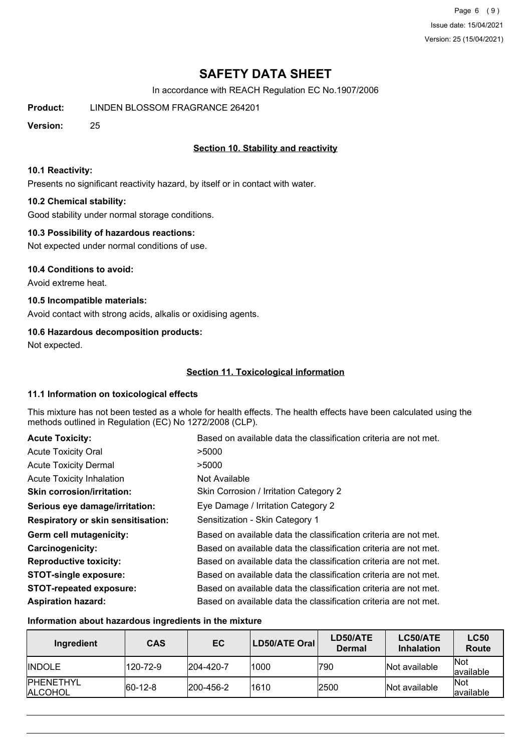Page 6 (9) Issue date: 15/04/2021 Version: 25 (15/04/2021)

## **SAFETY DATA SHEET**

In accordance with REACH Regulation EC No.1907/2006

**Product:** LINDEN BLOSSOM FRAGRANCE 264201

**Version:** 25

## **Section 10. Stability and reactivity**

#### **10.1 Reactivity:**

Presents no significant reactivity hazard, by itself or in contact with water.

#### **10.2 Chemical stability:**

Good stability under normal storage conditions.

#### **10.3 Possibility of hazardous reactions:**

Not expected under normal conditions of use.

#### **10.4 Conditions to avoid:**

Avoid extreme heat.

#### **10.5 Incompatible materials:**

Avoid contact with strong acids, alkalis or oxidising agents.

#### **10.6 Hazardous decomposition products:**

Not expected.

### **Section 11. Toxicological information**

#### **11.1 Information on toxicological effects**

This mixture has not been tested as a whole for health effects. The health effects have been calculated using the methods outlined in Regulation (EC) No 1272/2008 (CLP).

| <b>Acute Toxicity:</b>                    | Based on available data the classification criteria are not met. |
|-------------------------------------------|------------------------------------------------------------------|
| <b>Acute Toxicity Oral</b>                | >5000                                                            |
| <b>Acute Toxicity Dermal</b>              | >5000                                                            |
| <b>Acute Toxicity Inhalation</b>          | Not Available                                                    |
| <b>Skin corrosion/irritation:</b>         | Skin Corrosion / Irritation Category 2                           |
| Serious eye damage/irritation:            | Eye Damage / Irritation Category 2                               |
| <b>Respiratory or skin sensitisation:</b> | Sensitization - Skin Category 1                                  |
| Germ cell mutagenicity:                   | Based on available data the classification criteria are not met. |
| <b>Carcinogenicity:</b>                   | Based on available data the classification criteria are not met. |
| <b>Reproductive toxicity:</b>             | Based on available data the classification criteria are not met. |
| <b>STOT-single exposure:</b>              | Based on available data the classification criteria are not met. |
| <b>STOT-repeated exposure:</b>            | Based on available data the classification criteria are not met. |
| <b>Aspiration hazard:</b>                 | Based on available data the classification criteria are not met. |

#### **Information about hazardous ingredients in the mixture**

| Ingredient                          | <b>CAS</b>  | EC.       | LD50/ATE Oral | LD50/ATE<br><b>Dermal</b> | LC50/ATE<br><b>Inhalation</b> | <b>LC50</b><br>Route     |
|-------------------------------------|-------------|-----------|---------------|---------------------------|-------------------------------|--------------------------|
| <b>IINDOLE</b>                      | 120-72-9    | 204-420-7 | 1000          | 790                       | Not available                 | <b>Not</b><br>lavailable |
| <b>IPHENETHYL</b><br><b>ALCOHOL</b> | $ 60-12-8 $ | 200-456-2 | 1610          | 2500                      | Not available                 | <b>Not</b><br>lavailable |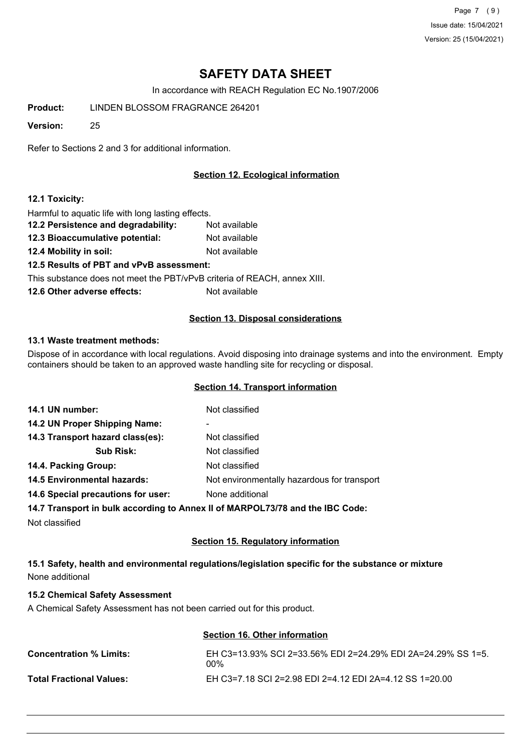Page 7 (9) Issue date: 15/04/2021 Version: 25 (15/04/2021)

## **SAFETY DATA SHEET**

In accordance with REACH Regulation EC No.1907/2006

**Product:** LINDEN BLOSSOM FRAGRANCE 264201

**Version:** 25

Refer to Sections 2 and 3 for additional information.

## **Section 12. Ecological information**

### **12.1 Toxicity:**

Harmful to aquatic life with long lasting effects.

- **12.2 Persistence and degradability:** Not available **12.3 Bioaccumulative potential:** Not available
- **12.4 Mobility in soil:** Not available

**12.5 Results of PBT and vPvB assessment:**

This substance does not meet the PBT/vPvB criteria of REACH, annex XIII.

**12.6 Other adverse effects:** Not available

### **Section 13. Disposal considerations**

#### **13.1 Waste treatment methods:**

Dispose of in accordance with local regulations. Avoid disposing into drainage systems and into the environment. Empty containers should be taken to an approved waste handling site for recycling or disposal.

#### **Section 14. Transport information**

| 14.1 UN number:                    | Not classified                                                                 |
|------------------------------------|--------------------------------------------------------------------------------|
| 14.2 UN Proper Shipping Name:      | ۰                                                                              |
| 14.3 Transport hazard class(es):   | Not classified                                                                 |
| <b>Sub Risk:</b>                   | Not classified                                                                 |
| 14.4. Packing Group:               | Not classified                                                                 |
| <b>14.5 Environmental hazards:</b> | Not environmentally hazardous for transport                                    |
| 14.6 Special precautions for user: | None additional                                                                |
|                                    | 14.7 Transport in bulk according to Anney II of MARPOL 73/78 and the IRC Code: |

**14.7 Transport in bulk according to Annex II of MARPOL73/78 and the IBC Code:**

Not classified

## **Section 15. Regulatory information**

## **15.1 Safety, health and environmental regulations/legislation specific for the substance or mixture** None additional

## **15.2 Chemical Safety Assessment**

A Chemical Safety Assessment has not been carried out for this product.

#### **Section 16. Other information**

| <b>Concentration % Limits:</b>  | EH C3=13.93% SCI 2=33.56% EDI 2=24.29% EDI 2A=24.29% SS 1=5.<br>$00\%$ |
|---------------------------------|------------------------------------------------------------------------|
| <b>Total Fractional Values:</b> | EH C3=7.18 SCI 2=2.98 EDI 2=4.12 EDI 2A=4.12 SS 1=20.00                |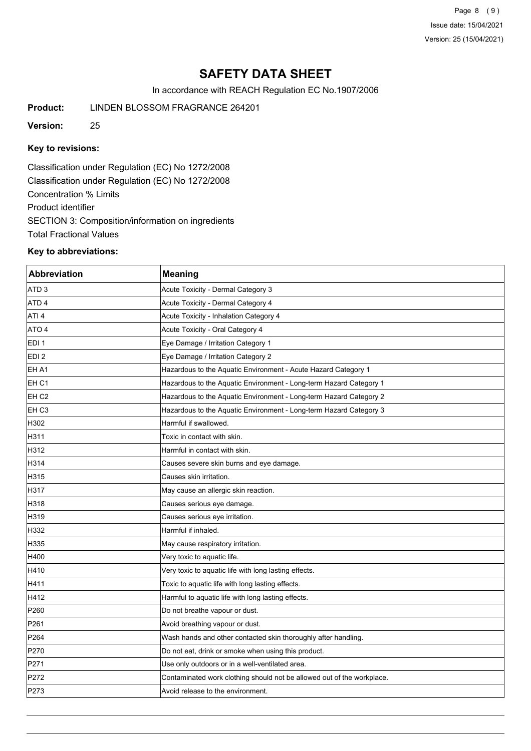Page 8 (9) Issue date: 15/04/2021 Version: 25 (15/04/2021)

## **SAFETY DATA SHEET**

In accordance with REACH Regulation EC No.1907/2006

**Product:** LINDEN BLOSSOM FRAGRANCE 264201

**Version:** 25

#### **Key to revisions:**

Classification under Regulation (EC) No 1272/2008 Classification under Regulation (EC) No 1272/2008 Concentration % Limits Product identifier SECTION 3: Composition/information on ingredients Total Fractional Values

### **Key to abbreviations:**

| Abbreviation      | <b>Meaning</b>                                                         |
|-------------------|------------------------------------------------------------------------|
| ATD <sub>3</sub>  | Acute Toxicity - Dermal Category 3                                     |
| ATD <sub>4</sub>  | Acute Toxicity - Dermal Category 4                                     |
| ATI 4             | Acute Toxicity - Inhalation Category 4                                 |
| ATO 4             | Acute Toxicity - Oral Category 4                                       |
| EDI 1             | Eye Damage / Irritation Category 1                                     |
| EDI <sub>2</sub>  | Eye Damage / Irritation Category 2                                     |
| EH A1             | Hazardous to the Aquatic Environment - Acute Hazard Category 1         |
| EH C1             | Hazardous to the Aquatic Environment - Long-term Hazard Category 1     |
| EH C <sub>2</sub> | Hazardous to the Aquatic Environment - Long-term Hazard Category 2     |
| EH C3             | Hazardous to the Aquatic Environment - Long-term Hazard Category 3     |
| H302              | Harmful if swallowed.                                                  |
| H311              | Toxic in contact with skin.                                            |
| H312              | Harmful in contact with skin.                                          |
| H314              | Causes severe skin burns and eye damage.                               |
| H315              | Causes skin irritation.                                                |
| H317              | May cause an allergic skin reaction.                                   |
| H318              | Causes serious eye damage.                                             |
| H319              | Causes serious eye irritation.                                         |
| H332              | Harmful if inhaled.                                                    |
| H335              | May cause respiratory irritation.                                      |
| H400              | Very toxic to aquatic life.                                            |
| H410              | Very toxic to aquatic life with long lasting effects.                  |
| H411              | Toxic to aquatic life with long lasting effects.                       |
| H412              | Harmful to aquatic life with long lasting effects.                     |
| P260              | Do not breathe vapour or dust.                                         |
| P261              | Avoid breathing vapour or dust.                                        |
| P264              | Wash hands and other contacted skin thoroughly after handling.         |
| P270              | Do not eat, drink or smoke when using this product.                    |
| P271              | Use only outdoors or in a well-ventilated area.                        |
| P272              | Contaminated work clothing should not be allowed out of the workplace. |
| P273              | Avoid release to the environment.                                      |